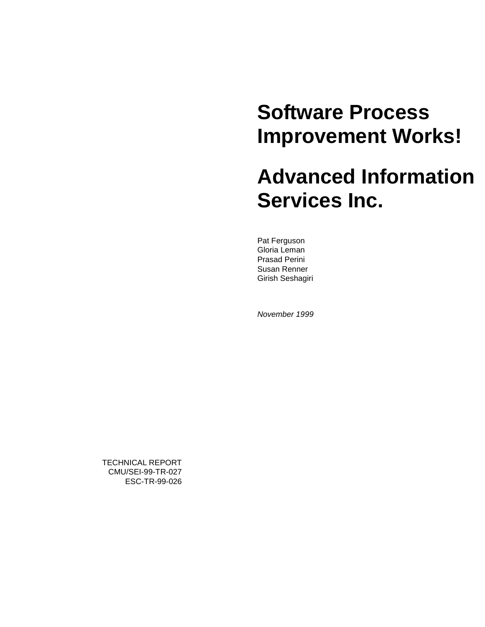# **Software Process Improvement Works!**

# **Advanced Information Services Inc.**

Pat Ferguson Gloria Leman Prasad Perini Susan Renner Girish Seshagiri

*November 1999*

TECHNICAL REPORT CMU/SEI-99-TR-027 ESC-TR-99-026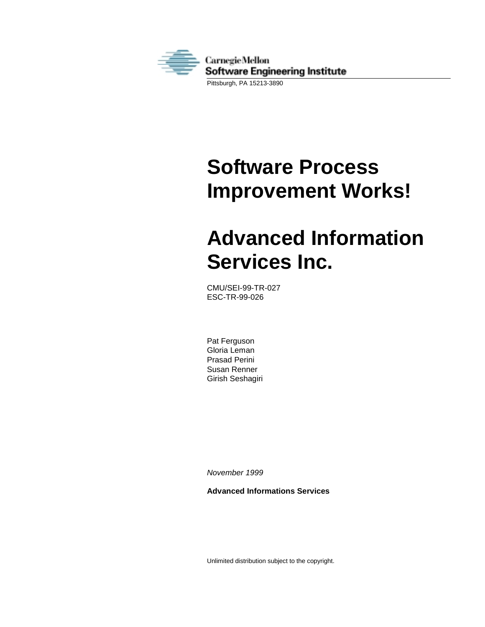

# **Software Process Improvement Works!**

# **Advanced Information Services Inc.**

CMU/SEI-99-TR-027 ESC-TR-99-026

Pat Ferguson Gloria Leman Prasad Perini Susan Renner Girish Seshagiri

*November 1999*

**Advanced Informations Services**

Unlimited distribution subject to the copyright.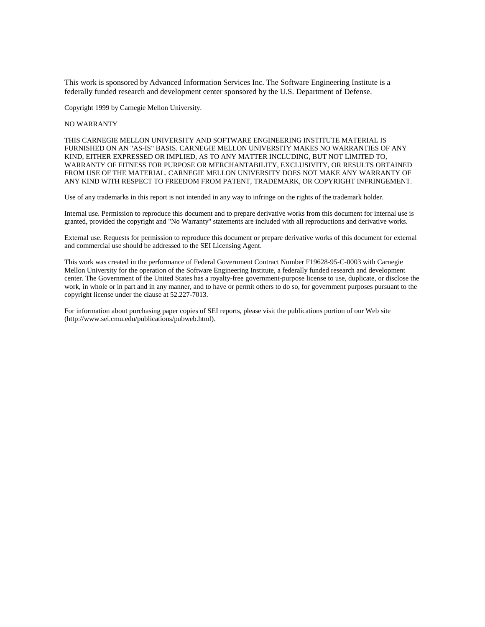This work is sponsored by Advanced Information Services Inc. The Software Engineering Institute is a federally funded research and development center sponsored by the U.S. Department of Defense.

Copyright 1999 by Carnegie Mellon University.

#### NO WARRANTY

THIS CARNEGIE MELLON UNIVERSITY AND SOFTWARE ENGINEERING INSTITUTE MATERIAL IS FURNISHED ON AN "AS-IS" BASIS. CARNEGIE MELLON UNIVERSITY MAKES NO WARRANTIES OF ANY KIND, EITHER EXPRESSED OR IMPLIED, AS TO ANY MATTER INCLUDING, BUT NOT LIMITED TO, WARRANTY OF FITNESS FOR PURPOSE OR MERCHANTABILITY, EXCLUSIVITY, OR RESULTS OBTAINED FROM USE OF THE MATERIAL. CARNEGIE MELLON UNIVERSITY DOES NOT MAKE ANY WARRANTY OF ANY KIND WITH RESPECT TO FREEDOM FROM PATENT, TRADEMARK, OR COPYRIGHT INFRINGEMENT.

Use of any trademarks in this report is not intended in any way to infringe on the rights of the trademark holder.

Internal use. Permission to reproduce this document and to prepare derivative works from this document for internal use is granted, provided the copyright and "No Warranty" statements are included with all reproductions and derivative works.

External use. Requests for permission to reproduce this document or prepare derivative works of this document for external and commercial use should be addressed to the SEI Licensing Agent.

This work was created in the performance of Federal Government Contract Number F19628-95-C-0003 with Carnegie Mellon University for the operation of the Software Engineering Institute, a federally funded research and development center. The Government of the United States has a royalty-free government-purpose license to use, duplicate, or disclose the work, in whole or in part and in any manner, and to have or permit others to do so, for government purposes pursuant to the copyright license under the clause at 52.227-7013.

For information about purchasing paper copies of SEI reports, please visit the publications portion of our Web site (http://www.sei.cmu.edu/publications/pubweb.html).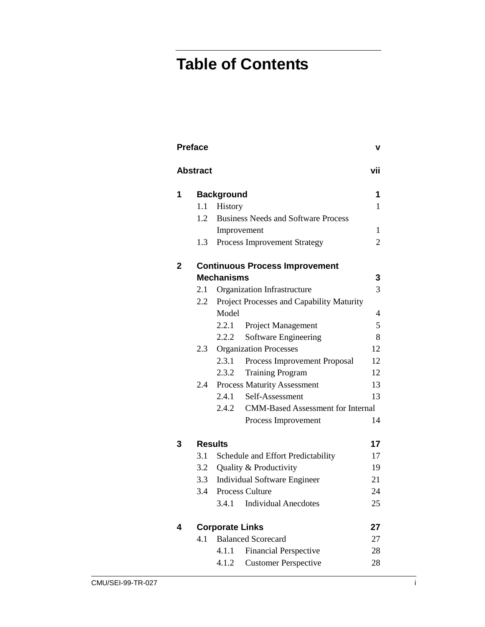# **Table of Contents**

|              | <b>Preface</b>  |                        |                                            | v   |
|--------------|-----------------|------------------------|--------------------------------------------|-----|
|              | <b>Abstract</b> |                        |                                            | vii |
| 1            |                 | <b>Background</b>      |                                            | 1   |
|              | 1.1             | History                |                                            | 1   |
|              | 1.2             |                        | <b>Business Needs and Software Process</b> |     |
|              |                 |                        | Improvement                                | 1   |
|              | 1.3             |                        | <b>Process Improvement Strategy</b>        | 2   |
| $\mathbf{2}$ |                 |                        | <b>Continuous Process Improvement</b>      |     |
|              |                 | <b>Mechanisms</b>      |                                            | 3   |
|              | 2.1             |                        | Organization Infrastructure                | 3   |
|              | 2.2             |                        | Project Processes and Capability Maturity  |     |
|              |                 | Model                  |                                            | 4   |
|              |                 | 2.2.1                  | Project Management                         | 5   |
|              |                 | 2.2.2                  | Software Engineering                       | 8   |
|              | 2.3             |                        | <b>Organization Processes</b>              | 12  |
|              |                 | 2.3.1                  | Process Improvement Proposal               | 12  |
|              |                 | 2.3.2                  | <b>Training Program</b>                    | 12  |
|              | 2.4             |                        | <b>Process Maturity Assessment</b>         | 13  |
|              |                 | 2.4.1                  | Self-Assessment                            | 13  |
|              |                 | 2.4.2                  | <b>CMM-Based Assessment for Internal</b>   |     |
|              |                 |                        | Process Improvement                        | 14  |
| 3            |                 | <b>Results</b>         |                                            | 17  |
|              | 3.1             |                        | Schedule and Effort Predictability         | 17  |
|              | 3.2             |                        | Quality & Productivity                     | 19  |
|              | 3.3             |                        | <b>Individual Software Engineer</b>        | 21  |
|              | 3.4             |                        | <b>Process Culture</b>                     | 24  |
|              |                 | 3.4.1                  | <b>Individual Anecdotes</b>                | 25  |
| 4            |                 | <b>Corporate Links</b> |                                            | 27  |
|              | 4.1             |                        | <b>Balanced Scorecard</b>                  | 27  |
|              |                 | 4.1.1                  | <b>Financial Perspective</b>               | 28  |
|              |                 | 4.1.2                  | <b>Customer Perspective</b>                | 28  |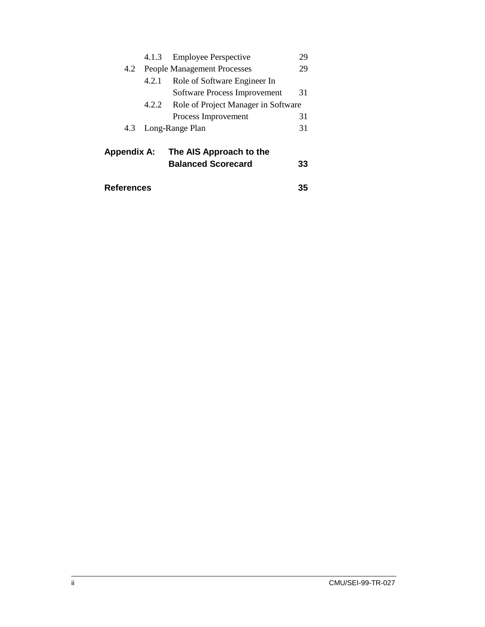|                    |                                    | 4.1.3 Employee Perspective          | 29 |
|--------------------|------------------------------------|-------------------------------------|----|
| 4.2                | <b>People Management Processes</b> |                                     |    |
|                    | 4.2.1                              | Role of Software Engineer In        |    |
|                    |                                    | Software Process Improvement        | 31 |
|                    | 4.2.2                              | Role of Project Manager in Software |    |
|                    |                                    | Process Improvement                 | 31 |
| 4.3                |                                    | Long-Range Plan                     | 31 |
|                    |                                    |                                     |    |
| <b>Appendix A:</b> |                                    | The AIS Approach to the             |    |
|                    |                                    | <b>Balanced Scorecard</b>           | 33 |
|                    |                                    |                                     |    |

| <b>References</b> | 35 |  |
|-------------------|----|--|
|                   |    |  |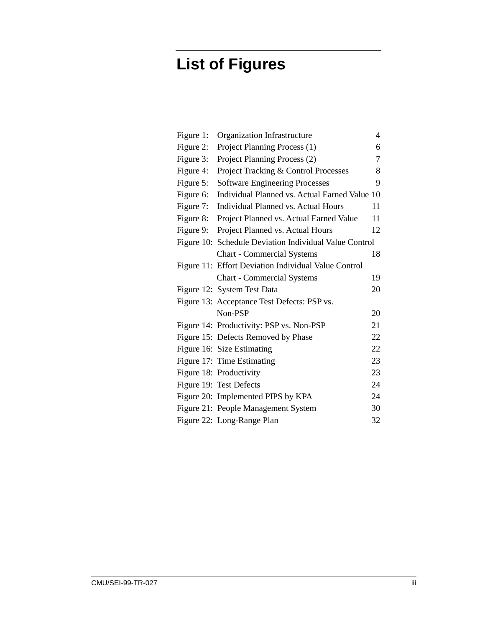# **List of Figures**

| Figure 1: | Organization Infrastructure                            | 4  |
|-----------|--------------------------------------------------------|----|
| Figure 2: | Project Planning Process (1)                           | 6  |
| Figure 3: | Project Planning Process (2)                           | 7  |
| Figure 4: | Project Tracking & Control Processes                   | 8  |
| Figure 5: | <b>Software Engineering Processes</b>                  | 9  |
| Figure 6: | Individual Planned vs. Actual Earned Value 10          |    |
| Figure 7: | <b>Individual Planned vs. Actual Hours</b>             | 11 |
| Figure 8: | Project Planned vs. Actual Earned Value                | 11 |
| Figure 9: | Project Planned vs. Actual Hours                       | 12 |
|           | Figure 10: Schedule Deviation Individual Value Control |    |
|           | <b>Chart - Commercial Systems</b>                      | 18 |
|           | Figure 11: Effort Deviation Individual Value Control   |    |
|           | <b>Chart - Commercial Systems</b>                      | 19 |
|           | Figure 12: System Test Data                            | 20 |
|           | Figure 13: Acceptance Test Defects: PSP vs.            |    |
|           | Non-PSP                                                | 20 |
|           | Figure 14: Productivity: PSP vs. Non-PSP               | 21 |
|           | Figure 15: Defects Removed by Phase                    | 22 |
|           | Figure 16: Size Estimating                             | 22 |
|           | Figure 17: Time Estimating                             | 23 |
|           | Figure 18: Productivity                                | 23 |
|           | Figure 19: Test Defects                                | 24 |
|           | Figure 20: Implemented PIPS by KPA                     | 24 |
|           | Figure 21: People Management System                    | 30 |
|           | Figure 22: Long-Range Plan                             | 32 |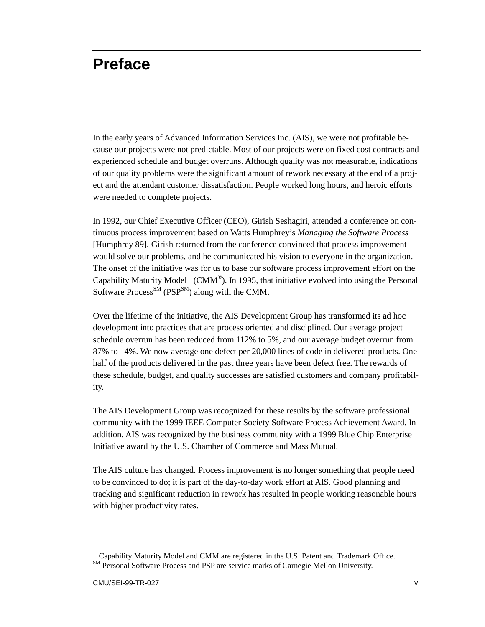# **Preface**

In the early years of Advanced Information Services Inc. (AIS), we were not profitable because our projects were not predictable. Most of our projects were on fixed cost contracts and experienced schedule and budget overruns. Although quality was not measurable, indications of our quality problems were the significant amount of rework necessary at the end of a project and the attendant customer dissatisfaction. People worked long hours, and heroic efforts were needed to complete projects.

In 1992, our Chief Executive Officer (CEO), Girish Seshagiri, attended a conference on continuous process improvement based on Watts Humphrey's *Managing the Software Process* [Humphrey 89]*.* Girish returned from the conference convinced that process improvement would solve our problems, and he communicated his vision to everyone in the organization. The onset of the initiative was for us to base our software process improvement effort on the Capability Maturity Model (CMM®). In 1995, that initiative evolved into using the Personal Software Process<sup>SM</sup> (PSP<sup>SM</sup>) along with the CMM.

Over the lifetime of the initiative, the AIS Development Group has transformed its ad hoc development into practices that are process oriented and disciplined. Our average project schedule overrun has been reduced from 112% to 5%, and our average budget overrun from 87% to –4%. We now average one defect per 20,000 lines of code in delivered products. Onehalf of the products delivered in the past three years have been defect free. The rewards of these schedule, budget, and quality successes are satisfied customers and company profitability.

The AIS Development Group was recognized for these results by the software professional community with the 1999 IEEE Computer Society Software Process Achievement Award. In addition, AIS was recognized by the business community with a 1999 Blue Chip Enterprise Initiative award by the U.S. Chamber of Commerce and Mass Mutual.

The AIS culture has changed. Process improvement is no longer something that people need to be convinced to do; it is part of the day-to-day work effort at AIS. Good planning and tracking and significant reduction in rework has resulted in people working reasonable hours with higher productivity rates.

 $\overline{a}$ 

Capability Maturity Model and CMM are registered in the U.S. Patent and Trademark Office. SM Personal Software Process and PSP are service marks of Carnegie Mellon University.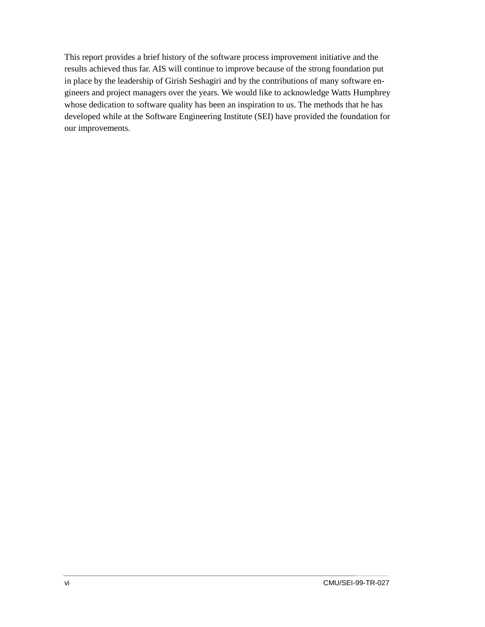This report provides a brief history of the software process improvement initiative and the results achieved thus far. AIS will continue to improve because of the strong foundation put in place by the leadership of Girish Seshagiri and by the contributions of many software engineers and project managers over the years. We would like to acknowledge Watts Humphrey whose dedication to software quality has been an inspiration to us. The methods that he has developed while at the Software Engineering Institute (SEI) have provided the foundation for our improvements.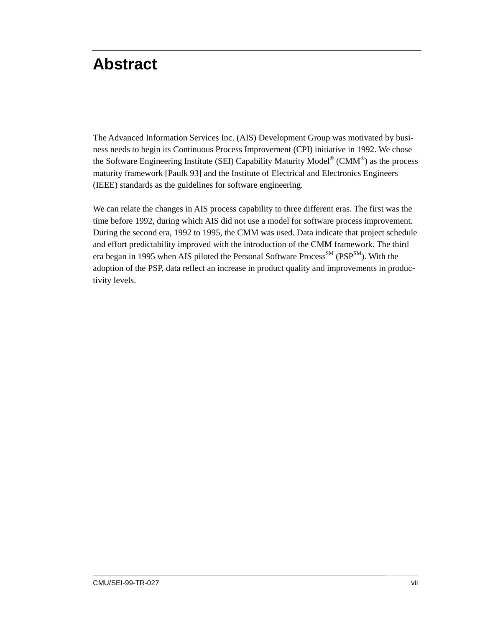# <span id="page-10-0"></span>**Abstract**

The Advanced Information Services Inc. (AIS) Development Group was motivated by business needs to begin its Continuous Process Improvement (CPI) initiative in 1992. We chose the Software Engineering Institute (SEI) Capability Maturity Model<sup>®</sup> (CMM<sup>®</sup>) as the process maturity framework [Paulk 93] and the Institute of Electrical and Electronics Engineers (IEEE) standards as the guidelines for software engineering.

We can relate the changes in AIS process capability to three different eras. The first was the time before 1992, during which AIS did not use a model for software process improvement. During the second era, 1992 to 1995, the CMM was used. Data indicate that project schedule and effort predictability improved with the introduction of the CMM framework. The third era began in 1995 when AIS piloted the Personal Software Process<sup>SM</sup> (PSP<sup>SM</sup>). With the adoption of the PSP, data reflect an increase in product quality and improvements in productivity levels.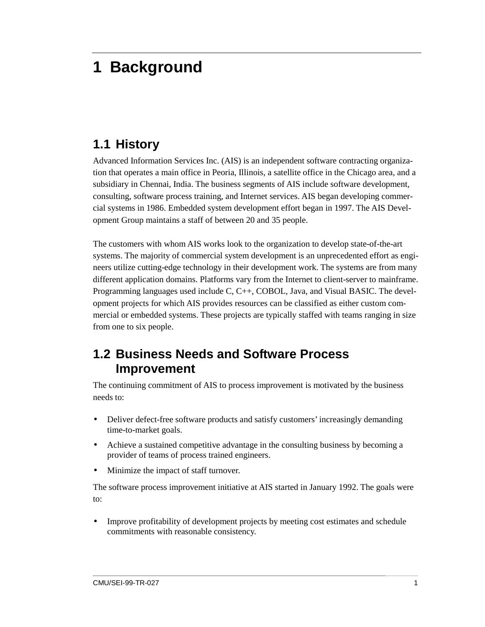# <span id="page-12-0"></span>**1 Background**

### **1.1 History**

Advanced Information Services Inc. (AIS) is an independent software contracting organization that operates a main office in Peoria, Illinois, a satellite office in the Chicago area, and a subsidiary in Chennai, India. The business segments of AIS include software development, consulting, software process training, and Internet services. AIS began developing commercial systems in 1986. Embedded system development effort began in 1997. The AIS Development Group maintains a staff of between 20 and 35 people.

The customers with whom AIS works look to the organization to develop state-of-the-art systems. The majority of commercial system development is an unprecedented effort as engineers utilize cutting-edge technology in their development work. The systems are from many different application domains. Platforms vary from the Internet to client-server to mainframe. Programming languages used include C, C++, COBOL, Java, and Visual BASIC. The development projects for which AIS provides resources can be classified as either custom commercial or embedded systems. These projects are typically staffed with teams ranging in size from one to six people.

### **1.2 Business Needs and Software Process Improvement**

The continuing commitment of AIS to process improvement is motivated by the business needs to:

- Deliver defect-free software products and satisfy customers' increasingly demanding time-to-market goals.
- Achieve a sustained competitive advantage in the consulting business by becoming a provider of teams of process trained engineers.
- Minimize the impact of staff turnover.

The software process improvement initiative at AIS started in January 1992. The goals were to:

• Improve profitability of development projects by meeting cost estimates and schedule commitments with reasonable consistency.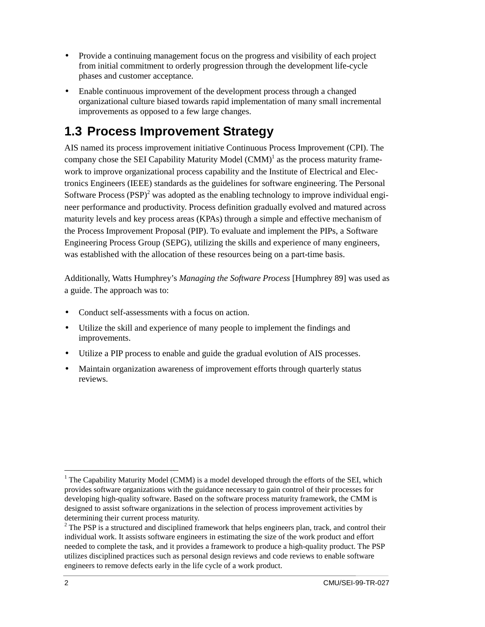- <span id="page-13-0"></span>• Provide a continuing management focus on the progress and visibility of each project from initial commitment to orderly progression through the development life-cycle phases and customer acceptance.
- Enable continuous improvement of the development process through a changed organizational culture biased towards rapid implementation of many small incremental improvements as opposed to a few large changes.

## **1.3 Process Improvement Strategy**

AIS named its process improvement initiative Continuous Process Improvement (CPI). The company chose the SEI Capability Maturity Model  $(CMM)^{1}$  as the process maturity framework to improve organizational process capability and the Institute of Electrical and Electronics Engineers (IEEE) standards as the guidelines for software engineering. The Personal Software Process (PSP) $^2$  was adopted as the enabling technology to improve individual engineer performance and productivity. Process definition gradually evolved and matured across maturity levels and key process areas (KPAs) through a simple and effective mechanism of the Process Improvement Proposal (PIP). To evaluate and implement the PIPs, a Software Engineering Process Group (SEPG), utilizing the skills and experience of many engineers, was established with the allocation of these resources being on a part-time basis.

Additionally, Watts Humphrey's *Managing the Software Process* [Humphrey 89] was used as a guide. The approach was to:

- Conduct self-assessments with a focus on action.
- Utilize the skill and experience of many people to implement the findings and improvements.
- Utilize a PIP process to enable and guide the gradual evolution of AIS processes.
- Maintain organization awareness of improvement efforts through quarterly status reviews.

 $\overline{a}$ 

<sup>&</sup>lt;sup>1</sup> The Capability Maturity Model (CMM) is a model developed through the efforts of the SEI, which provides software organizations with the guidance necessary to gain control of their processes for developing high-quality software. Based on the software process maturity framework, the CMM is designed to assist software organizations in the selection of process improvement activities by determining their current process maturity.

 $2^2$  The PSP is a structured and disciplined framework that helps engineers plan, track, and control their individual work. It assists software engineers in estimating the size of the work product and effort needed to complete the task, and it provides a framework to produce a high-quality product. The PSP utilizes disciplined practices such as personal design reviews and code reviews to enable software engineers to remove defects early in the life cycle of a work product.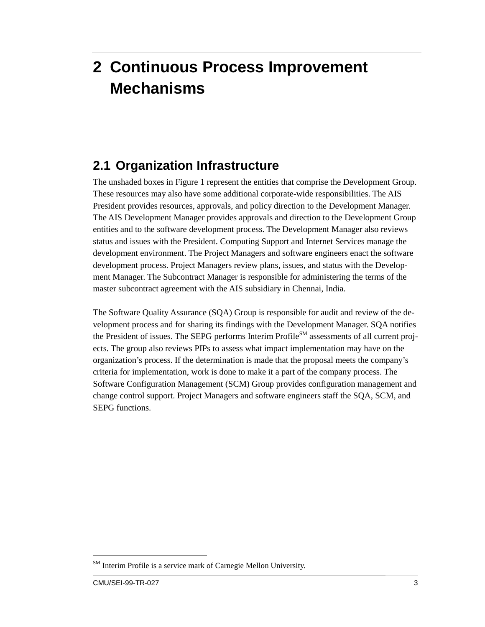# <span id="page-14-0"></span>**2 Continuous Process Improvement Mechanisms**

### **2.1 Organization Infrastructure**

The unshaded boxes in Figure 1 represent the entities that comprise the Development Group. These resources may also have some additional corporate-wide responsibilities. The AIS President provides resources, approvals, and policy direction to the Development Manager. The AIS Development Manager provides approvals and direction to the Development Group entities and to the software development process. The Development Manager also reviews status and issues with the President. Computing Support and Internet Services manage the development environment. The Project Managers and software engineers enact the software development process. Project Managers review plans, issues, and status with the Development Manager. The Subcontract Manager is responsible for administering the terms of the master subcontract agreement with the AIS subsidiary in Chennai, India.

The Software Quality Assurance (SQA) Group is responsible for audit and review of the development process and for sharing its findings with the Development Manager. SQA notifies the President of issues. The SEPG performs Interim Profile<sup>SM</sup> assessments of all current proiects. The group also reviews PIPs to assess what impact implementation may have on the organization's process. If the determination is made that the proposal meets the company's criteria for implementation, work is done to make it a part of the company process. The Software Configuration Management (SCM) Group provides configuration management and change control support. Project Managers and software engineers staff the SQA, SCM, and SEPG functions.

 $\overline{a}$ 

<sup>&</sup>lt;sup>SM</sup> Interim Profile is a service mark of Carnegie Mellon University.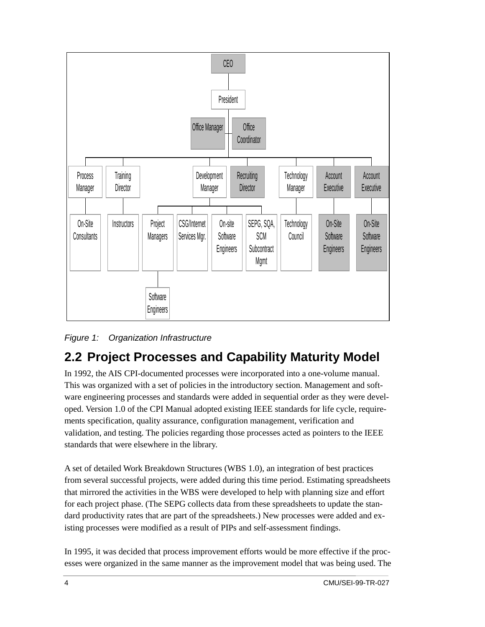<span id="page-15-0"></span>

*Figure 1: Organization Infrastructure*

## **2.2 Project Processes and Capability Maturity Model**

In 1992, the AIS CPI-documented processes were incorporated into a one-volume manual. This was organized with a set of policies in the introductory section. Management and software engineering processes and standards were added in sequential order as they were developed. Version 1.0 of the CPI Manual adopted existing IEEE standards for life cycle, requirements specification, quality assurance, configuration management, verification and validation, and testing. The policies regarding those processes acted as pointers to the IEEE standards that were elsewhere in the library.

A set of detailed Work Breakdown Structures (WBS 1.0), an integration of best practices from several successful projects, were added during this time period. Estimating spreadsheets that mirrored the activities in the WBS were developed to help with planning size and effort for each project phase. (The SEPG collects data from these spreadsheets to update the standard productivity rates that are part of the spreadsheets.) New processes were added and existing processes were modified as a result of PIPs and self-assessment findings.

In 1995, it was decided that process improvement efforts would be more effective if the processes were organized in the same manner as the improvement model that was being used. The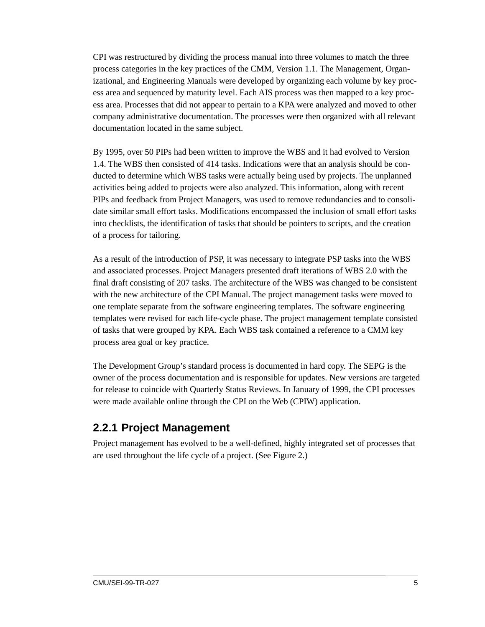<span id="page-16-0"></span>CPI was restructured by dividing the process manual into three volumes to match the three process categories in the key practices of the CMM, Version 1.1. The Management, Organizational, and Engineering Manuals were developed by organizing each volume by key process area and sequenced by maturity level. Each AIS process was then mapped to a key process area. Processes that did not appear to pertain to a KPA were analyzed and moved to other company administrative documentation. The processes were then organized with all relevant documentation located in the same subject.

By 1995, over 50 PIPs had been written to improve the WBS and it had evolved to Version 1.4. The WBS then consisted of 414 tasks. Indications were that an analysis should be conducted to determine which WBS tasks were actually being used by projects. The unplanned activities being added to projects were also analyzed. This information, along with recent PIPs and feedback from Project Managers, was used to remove redundancies and to consolidate similar small effort tasks. Modifications encompassed the inclusion of small effort tasks into checklists, the identification of tasks that should be pointers to scripts, and the creation of a process for tailoring.

As a result of the introduction of PSP, it was necessary to integrate PSP tasks into the WBS and associated processes. Project Managers presented draft iterations of WBS 2.0 with the final draft consisting of 207 tasks. The architecture of the WBS was changed to be consistent with the new architecture of the CPI Manual. The project management tasks were moved to one template separate from the software engineering templates. The software engineering templates were revised for each life-cycle phase. The project management template consisted of tasks that were grouped by KPA. Each WBS task contained a reference to a CMM key process area goal or key practice.

The Development Group's standard process is documented in hard copy. The SEPG is the owner of the process documentation and is responsible for updates. New versions are targeted for release to coincide with Quarterly Status Reviews. In January of 1999, the CPI processes were made available online through the CPI on the Web (CPIW) application.

#### **2.2.1 Project Management**

Project management has evolved to be a well-defined, highly integrated set of processes that are used throughout the life cycle of a project. (See Figure 2.)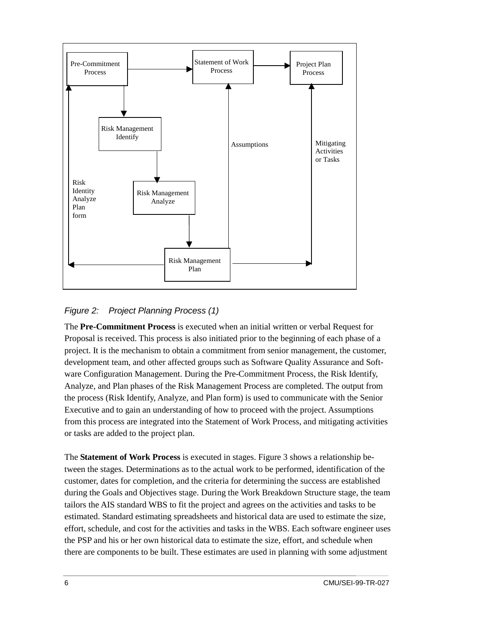<span id="page-17-0"></span>

*Figure 2: Project Planning Process (1)*

The **Pre-Commitment Process** is executed when an initial written or verbal Request for Proposal is received. This process is also initiated prior to the beginning of each phase of a project. It is the mechanism to obtain a commitment from senior management, the customer, development team, and other affected groups such as Software Quality Assurance and Software Configuration Management. During the Pre-Commitment Process, the Risk Identify, Analyze, and Plan phases of the Risk Management Process are completed. The output from the process (Risk Identify, Analyze, and Plan form) is used to communicate with the Senior Executive and to gain an understanding of how to proceed with the project. Assumptions from this process are integrated into the Statement of Work Process, and mitigating activities or tasks are added to the project plan.

The **Statement of Work Process** is executed in stages. Figure 3 shows a relationship between the stages. Determinations as to the actual work to be performed, identification of the customer, dates for completion, and the criteria for determining the success are established during the Goals and Objectives stage. During the Work Breakdown Structure stage, the team tailors the AIS standard WBS to fit the project and agrees on the activities and tasks to be estimated. Standard estimating spreadsheets and historical data are used to estimate the size, effort, schedule, and cost for the activities and tasks in the WBS. Each software engineer uses the PSP and his or her own historical data to estimate the size, effort, and schedule when there are components to be built. These estimates are used in planning with some adjustment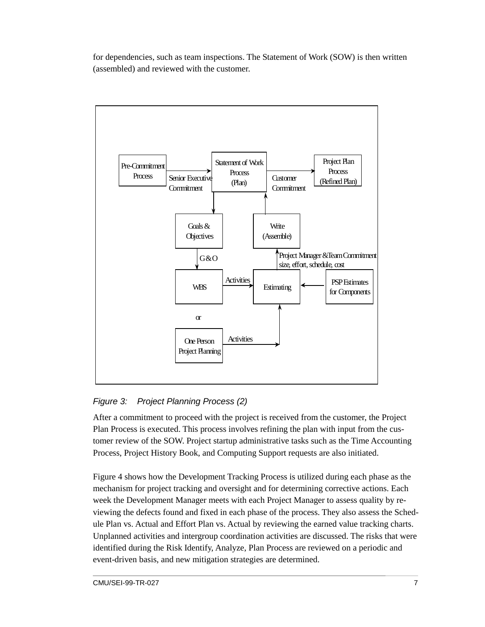<span id="page-18-0"></span>for dependencies, such as team inspections. The Statement of Work (SOW) is then written (assembled) and reviewed with the customer.



#### *Figure 3: Project Planning Process (2)*

After a commitment to proceed with the project is received from the customer, the Project Plan Process is executed. This process involves refining the plan with input from the customer review of the SOW. Project startup administrative tasks such as the Time Accounting Process, Project History Book, and Computing Support requests are also initiated.

Figure 4 shows how the Development Tracking Process is utilized during each phase as the mechanism for project tracking and oversight and for determining corrective actions. Each week the Development Manager meets with each Project Manager to assess quality by reviewing the defects found and fixed in each phase of the process. They also assess the Schedule Plan vs. Actual and Effort Plan vs. Actual by reviewing the earned value tracking charts. Unplanned activities and intergroup coordination activities are discussed. The risks that were identified during the Risk Identify, Analyze, Plan Process are reviewed on a periodic and event-driven basis, and new mitigation strategies are determined.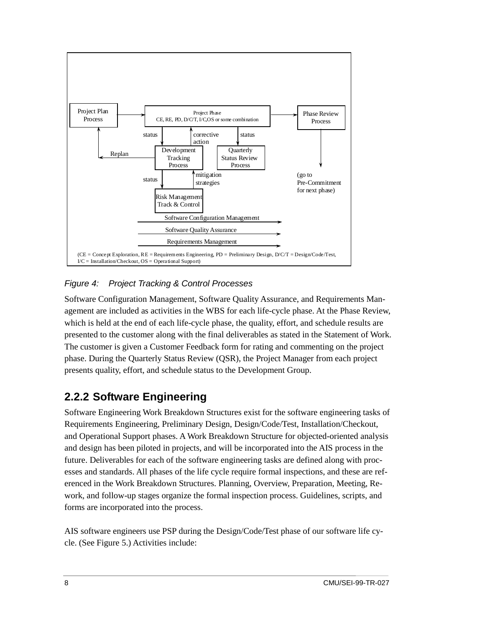<span id="page-19-0"></span>

#### *Figure 4: Project Tracking & Control Processes*

Software Configuration Management, Software Quality Assurance, and Requirements Management are included as activities in the WBS for each life-cycle phase. At the Phase Review, which is held at the end of each life-cycle phase, the quality, effort, and schedule results are presented to the customer along with the final deliverables as stated in the Statement of Work. The customer is given a Customer Feedback form for rating and commenting on the project phase. During the Quarterly Status Review (QSR), the Project Manager from each project presents quality, effort, and schedule status to the Development Group.

#### **2.2.2 Software Engineering**

Software Engineering Work Breakdown Structures exist for the software engineering tasks of Requirements Engineering, Preliminary Design, Design/Code/Test, Installation/Checkout, and Operational Support phases. A Work Breakdown Structure for objected-oriented analysis and design has been piloted in projects, and will be incorporated into the AIS process in the future. Deliverables for each of the software engineering tasks are defined along with processes and standards. All phases of the life cycle require formal inspections, and these are referenced in the Work Breakdown Structures. Planning, Overview, Preparation, Meeting, Rework, and follow-up stages organize the formal inspection process. Guidelines, scripts, and forms are incorporated into the process.

AIS software engineers use PSP during the Design/Code/Test phase of our software life cycle. (See Figure 5.) Activities include: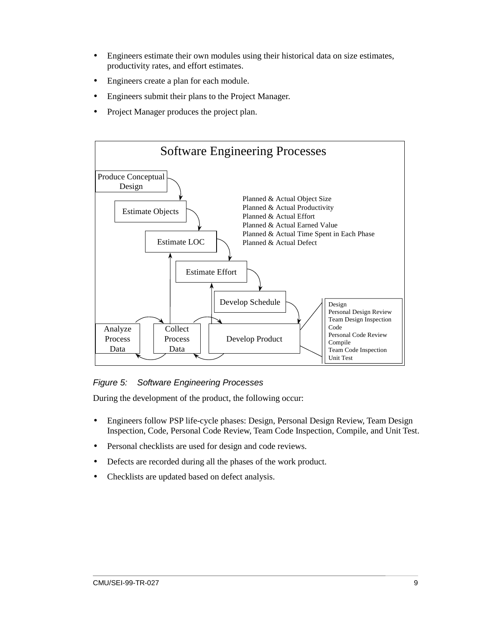- <span id="page-20-0"></span>• Engineers estimate their own modules using their historical data on size estimates, productivity rates, and effort estimates.
- Engineers create a plan for each module.
- Engineers submit their plans to the Project Manager.
- Project Manager produces the project plan.



#### *Figure 5: Software Engineering Processes*

During the development of the product, the following occur:

- Engineers follow PSP life-cycle phases: Design, Personal Design Review, Team Design Inspection, Code, Personal Code Review, Team Code Inspection, Compile, and Unit Test.
- Personal checklists are used for design and code reviews.
- Defects are recorded during all the phases of the work product.
- Checklists are updated based on defect analysis.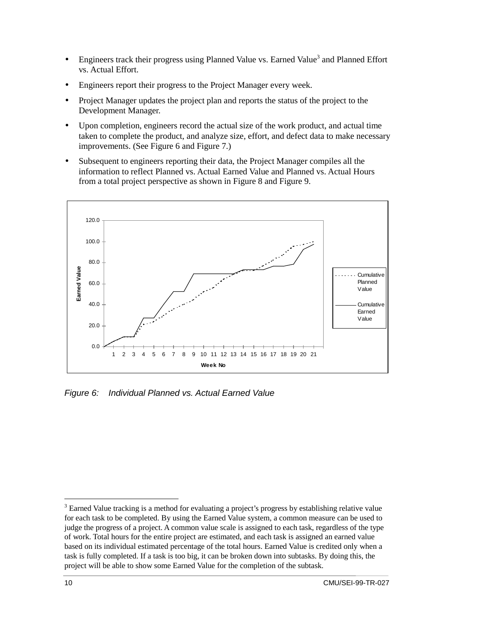- <span id="page-21-0"></span>• Engineers track their progress using Planned Value vs. Earned Value<sup>3</sup> and Planned Effort vs. Actual Effort.
- Engineers report their progress to the Project Manager every week.
- Project Manager updates the project plan and reports the status of the project to the Development Manager.
- Upon completion, engineers record the actual size of the work product, and actual time taken to complete the product, and analyze size, effort, and defect data to make necessary improvements. (See Figure 6 and Figure 7.)
- Subsequent to engineers reporting their data, the Project Manager compiles all the information to reflect Planned vs. Actual Earned Value and Planned vs. Actual Hours from a total project perspective as shown in Figure 8 and Figure 9.



*Figure 6: Individual Planned vs. Actual Earned Value*

 $\overline{a}$ 

 $3$  Earned Value tracking is a method for evaluating a project's progress by establishing relative value for each task to be completed. By using the Earned Value system, a common measure can be used to judge the progress of a project. A common value scale is assigned to each task, regardless of the type of work. Total hours for the entire project are estimated, and each task is assigned an earned value based on its individual estimated percentage of the total hours. Earned Value is credited only when a task is fully completed. If a task is too big, it can be broken down into subtasks. By doing this, the project will be able to show some Earned Value for the completion of the subtask.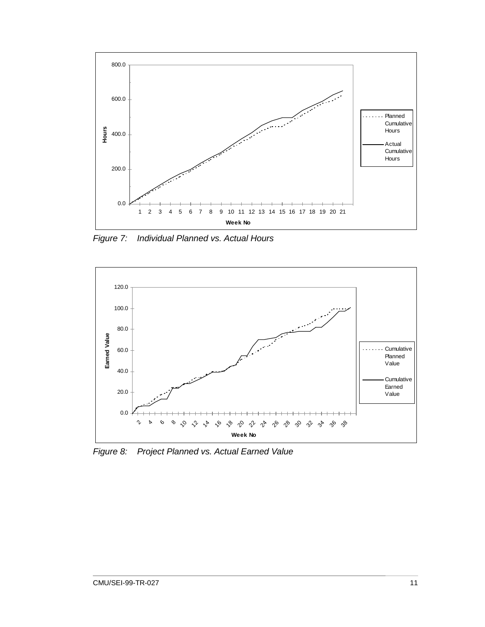<span id="page-22-0"></span>

*Figure 7: Individual Planned vs. Actual Hours*



*Figure 8: Project Planned vs. Actual Earned Value*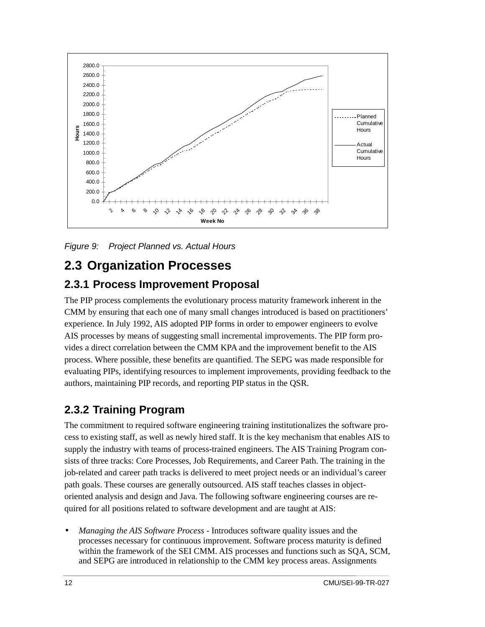<span id="page-23-0"></span>

*Figure 9: Project Planned vs. Actual Hours*

### **2.3 Organization Processes**

#### **2.3.1 Process Improvement Proposal**

The PIP process complements the evolutionary process maturity framework inherent in the CMM by ensuring that each one of many small changes introduced is based on practitioners' experience. In July 1992, AIS adopted PIP forms in order to empower engineers to evolve AIS processes by means of suggesting small incremental improvements. The PIP form provides a direct correlation between the CMM KPA and the improvement benefit to the AIS process. Where possible, these benefits are quantified. The SEPG was made responsible for evaluating PIPs, identifying resources to implement improvements, providing feedback to the authors, maintaining PIP records, and reporting PIP status in the QSR.

#### **2.3.2 Training Program**

The commitment to required software engineering training institutionalizes the software process to existing staff, as well as newly hired staff. It is the key mechanism that enables AIS to supply the industry with teams of process-trained engineers. The AIS Training Program consists of three tracks: Core Processes, Job Requirements, and Career Path. The training in the job-related and career path tracks is delivered to meet project needs or an individual's career path goals. These courses are generally outsourced. AIS staff teaches classes in objectoriented analysis and design and Java. The following software engineering courses are required for all positions related to software development and are taught at AIS:

• *Managing the AIS Software Process* - Introduces software quality issues and the processes necessary for continuous improvement. Software process maturity is defined within the framework of the SEI CMM. AIS processes and functions such as SQA, SCM, and SEPG are introduced in relationship to the CMM key process areas. Assignments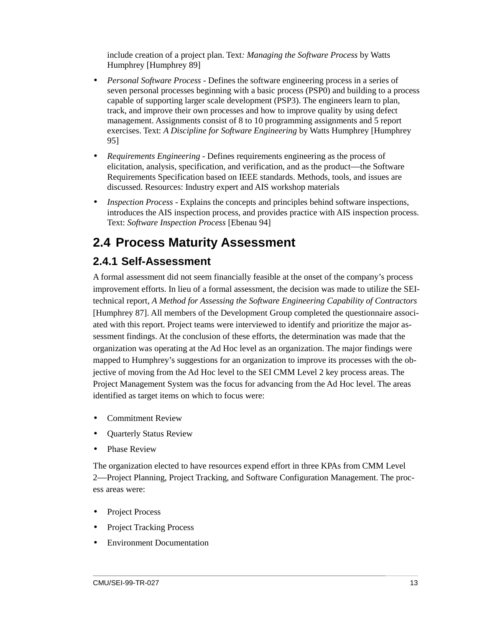<span id="page-24-0"></span>include creation of a project plan. Text*: Managing the Software Process* by Watts Humphrey [Humphrey 89]

- *Personal Software Process* Defines the software engineering process in a series of seven personal processes beginning with a basic process (PSP0) and building to a process capable of supporting larger scale development (PSP3). The engineers learn to plan, track, and improve their own processes and how to improve quality by using defect management. Assignments consist of 8 to 10 programming assignments and 5 report exercises. Text: *A Discipline for Software Engineering* by Watts Humphrey [Humphrey 95]
- *Requirements Engineering* Defines requirements engineering as the process of elicitation, analysis, specification, and verification, and as the product—the Software Requirements Specification based on IEEE standards. Methods, tools, and issues are discussed. Resources: Industry expert and AIS workshop materials
- *Inspection Process* Explains the concepts and principles behind software inspections, introduces the AIS inspection process, and provides practice with AIS inspection process. Text: *Software Inspection Process* [Ebenau 94]

## **2.4 Process Maturity Assessment**

### **2.4.1 Self-Assessment**

A formal assessment did not seem financially feasible at the onset of the company's process improvement efforts. In lieu of a formal assessment, the decision was made to utilize the SEItechnical report, *A Method for Assessing the Software Engineering Capability of Contractors* [Humphrey 87]. All members of the Development Group completed the questionnaire associated with this report. Project teams were interviewed to identify and prioritize the major assessment findings. At the conclusion of these efforts, the determination was made that the organization was operating at the Ad Hoc level as an organization. The major findings were mapped to Humphrey's suggestions for an organization to improve its processes with the objective of moving from the Ad Hoc level to the SEI CMM Level 2 key process areas. The Project Management System was the focus for advancing from the Ad Hoc level. The areas identified as target items on which to focus were:

- Commitment Review
- Quarterly Status Review
- Phase Review

The organization elected to have resources expend effort in three KPAs from CMM Level 2—Project Planning, Project Tracking, and Software Configuration Management. The process areas were:

- Project Process
- Project Tracking Process
- Environment Documentation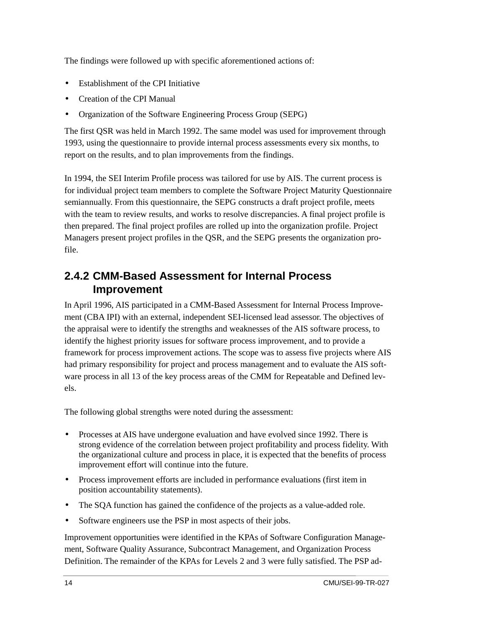<span id="page-25-0"></span>The findings were followed up with specific aforementioned actions of:

- Establishment of the CPI Initiative
- Creation of the CPI Manual
- Organization of the Software Engineering Process Group (SEPG)

The first QSR was held in March 1992. The same model was used for improvement through 1993, using the questionnaire to provide internal process assessments every six months, to report on the results, and to plan improvements from the findings.

In 1994, the SEI Interim Profile process was tailored for use by AIS. The current process is for individual project team members to complete the Software Project Maturity Questionnaire semiannually. From this questionnaire, the SEPG constructs a draft project profile, meets with the team to review results, and works to resolve discrepancies. A final project profile is then prepared. The final project profiles are rolled up into the organization profile. Project Managers present project profiles in the QSR, and the SEPG presents the organization profile.

#### **2.4.2 CMM-Based Assessment for Internal Process Improvement**

In April 1996, AIS participated in a CMM-Based Assessment for Internal Process Improvement (CBA IPI) with an external, independent SEI-licensed lead assessor. The objectives of the appraisal were to identify the strengths and weaknesses of the AIS software process, to identify the highest priority issues for software process improvement, and to provide a framework for process improvement actions. The scope was to assess five projects where AIS had primary responsibility for project and process management and to evaluate the AIS software process in all 13 of the key process areas of the CMM for Repeatable and Defined levels.

The following global strengths were noted during the assessment:

- Processes at AIS have undergone evaluation and have evolved since 1992. There is strong evidence of the correlation between project profitability and process fidelity. With the organizational culture and process in place, it is expected that the benefits of process improvement effort will continue into the future.
- Process improvement efforts are included in performance evaluations (first item in position accountability statements).
- The SQA function has gained the confidence of the projects as a value-added role.
- Software engineers use the PSP in most aspects of their jobs.

Improvement opportunities were identified in the KPAs of Software Configuration Management, Software Quality Assurance, Subcontract Management, and Organization Process Definition. The remainder of the KPAs for Levels 2 and 3 were fully satisfied. The PSP ad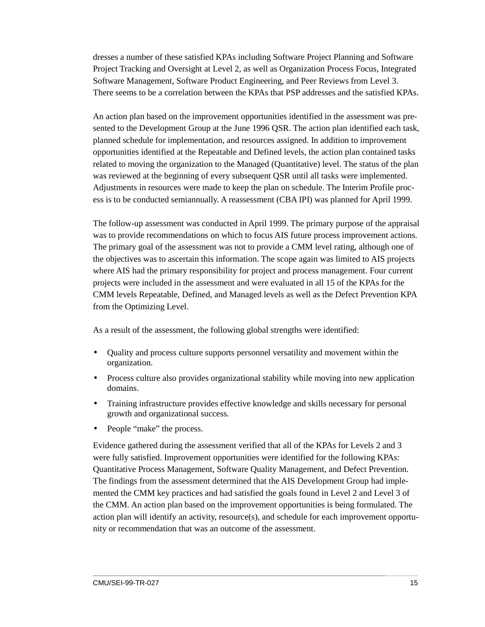dresses a number of these satisfied KPAs including Software Project Planning and Software Project Tracking and Oversight at Level 2, as well as Organization Process Focus, Integrated Software Management, Software Product Engineering, and Peer Reviews from Level 3. There seems to be a correlation between the KPAs that PSP addresses and the satisfied KPAs.

An action plan based on the improvement opportunities identified in the assessment was presented to the Development Group at the June 1996 QSR. The action plan identified each task, planned schedule for implementation, and resources assigned. In addition to improvement opportunities identified at the Repeatable and Defined levels, the action plan contained tasks related to moving the organization to the Managed (Quantitative) level. The status of the plan was reviewed at the beginning of every subsequent QSR until all tasks were implemented. Adjustments in resources were made to keep the plan on schedule. The Interim Profile process is to be conducted semiannually. A reassessment (CBA IPI) was planned for April 1999.

The follow-up assessment was conducted in April 1999. The primary purpose of the appraisal was to provide recommendations on which to focus AIS future process improvement actions. The primary goal of the assessment was not to provide a CMM level rating, although one of the objectives was to ascertain this information. The scope again was limited to AIS projects where AIS had the primary responsibility for project and process management. Four current projects were included in the assessment and were evaluated in all 15 of the KPAs for the CMM levels Repeatable, Defined, and Managed levels as well as the Defect Prevention KPA from the Optimizing Level.

As a result of the assessment, the following global strengths were identified:

- Quality and process culture supports personnel versatility and movement within the organization.
- Process culture also provides organizational stability while moving into new application domains.
- Training infrastructure provides effective knowledge and skills necessary for personal growth and organizational success.
- People "make" the process.

Evidence gathered during the assessment verified that all of the KPAs for Levels 2 and 3 were fully satisfied. Improvement opportunities were identified for the following KPAs: Quantitative Process Management, Software Quality Management, and Defect Prevention. The findings from the assessment determined that the AIS Development Group had implemented the CMM key practices and had satisfied the goals found in Level 2 and Level 3 of the CMM. An action plan based on the improvement opportunities is being formulated. The action plan will identify an activity, resource(s), and schedule for each improvement opportunity or recommendation that was an outcome of the assessment.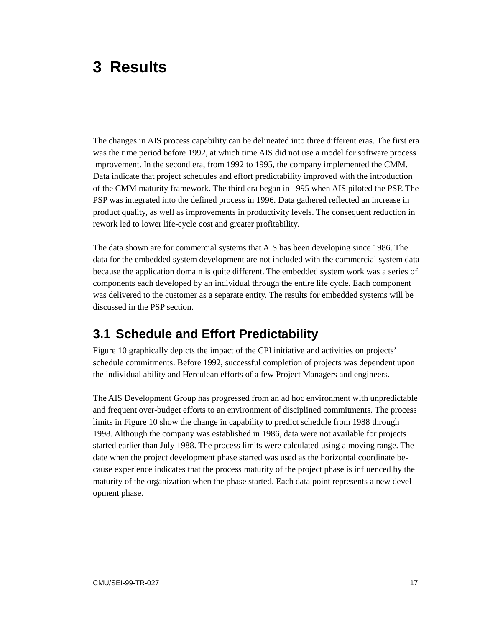# <span id="page-28-0"></span>**3 Results**

The changes in AIS process capability can be delineated into three different eras. The first era was the time period before 1992, at which time AIS did not use a model for software process improvement. In the second era, from 1992 to 1995, the company implemented the CMM. Data indicate that project schedules and effort predictability improved with the introduction of the CMM maturity framework. The third era began in 1995 when AIS piloted the PSP. The PSP was integrated into the defined process in 1996. Data gathered reflected an increase in product quality, as well as improvements in productivity levels. The consequent reduction in rework led to lower life-cycle cost and greater profitability.

The data shown are for commercial systems that AIS has been developing since 1986. The data for the embedded system development are not included with the commercial system data because the application domain is quite different. The embedded system work was a series of components each developed by an individual through the entire life cycle. Each component was delivered to the customer as a separate entity. The results for embedded systems will be discussed in the PSP section.

### **3.1 Schedule and Effort Predictability**

Figure 10 graphically depicts the impact of the CPI initiative and activities on projects' schedule commitments. Before 1992, successful completion of projects was dependent upon the individual ability and Herculean efforts of a few Project Managers and engineers.

The AIS Development Group has progressed from an ad hoc environment with unpredictable and frequent over-budget efforts to an environment of disciplined commitments. The process limits in Figure 10 show the change in capability to predict schedule from 1988 through 1998. Although the company was established in 1986, data were not available for projects started earlier than July 1988. The process limits were calculated using a moving range. The date when the project development phase started was used as the horizontal coordinate because experience indicates that the process maturity of the project phase is influenced by the maturity of the organization when the phase started. Each data point represents a new development phase.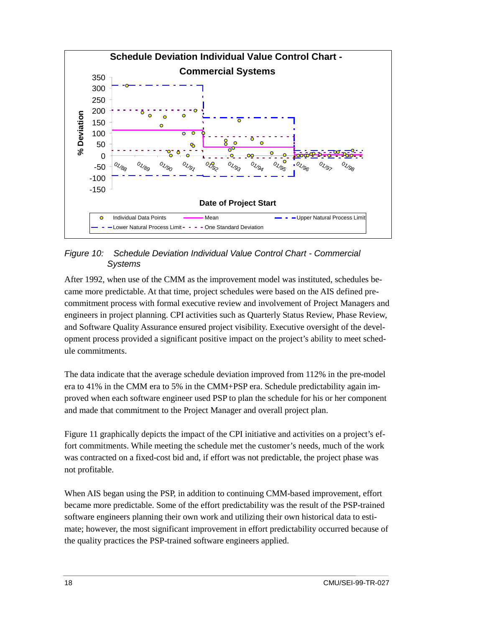<span id="page-29-0"></span>

*Figure 10: Schedule Deviation Individual Value Control Chart - Commercial Systems*

After 1992, when use of the CMM as the improvement model was instituted, schedules became more predictable. At that time, project schedules were based on the AIS defined precommitment process with formal executive review and involvement of Project Managers and engineers in project planning. CPI activities such as Quarterly Status Review, Phase Review, and Software Quality Assurance ensured project visibility. Executive oversight of the development process provided a significant positive impact on the project's ability to meet schedule commitments.

The data indicate that the average schedule deviation improved from 112% in the pre-model era to 41% in the CMM era to 5% in the CMM+PSP era. Schedule predictability again improved when each software engineer used PSP to plan the schedule for his or her component and made that commitment to the Project Manager and overall project plan.

Figure 11 graphically depicts the impact of the CPI initiative and activities on a project's effort commitments. While meeting the schedule met the customer's needs, much of the work was contracted on a fixed-cost bid and, if effort was not predictable, the project phase was not profitable.

When AIS began using the PSP, in addition to continuing CMM-based improvement, effort became more predictable. Some of the effort predictability was the result of the PSP-trained software engineers planning their own work and utilizing their own historical data to estimate; however, the most significant improvement in effort predictability occurred because of the quality practices the PSP-trained software engineers applied.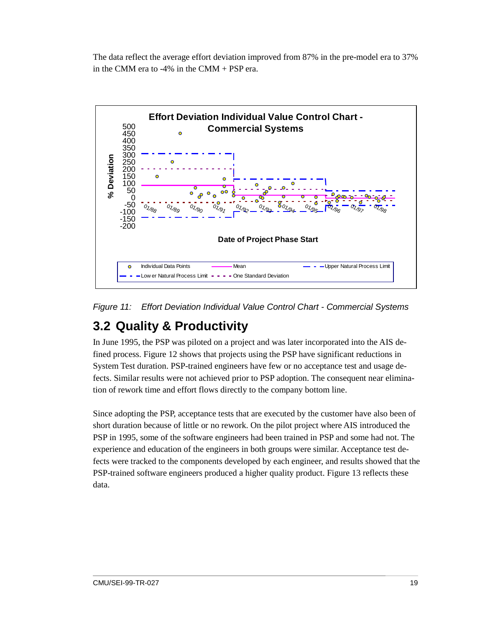<span id="page-30-0"></span>The data reflect the average effort deviation improved from 87% in the pre-model era to 37% in the CMM era to -4% in the CMM + PSP era.



*Figure 11: Effort Deviation Individual Value Control Chart - Commercial Systems*

## **3.2 Quality & Productivity**

In June 1995, the PSP was piloted on a project and was later incorporated into the AIS defined process. Figure 12 shows that projects using the PSP have significant reductions in System Test duration. PSP-trained engineers have few or no acceptance test and usage defects. Similar results were not achieved prior to PSP adoption. The consequent near elimination of rework time and effort flows directly to the company bottom line.

Since adopting the PSP, acceptance tests that are executed by the customer have also been of short duration because of little or no rework. On the pilot project where AIS introduced the PSP in 1995, some of the software engineers had been trained in PSP and some had not. The experience and education of the engineers in both groups were similar. Acceptance test defects were tracked to the components developed by each engineer, and results showed that the PSP-trained software engineers produced a higher quality product. Figure 13 reflects these data.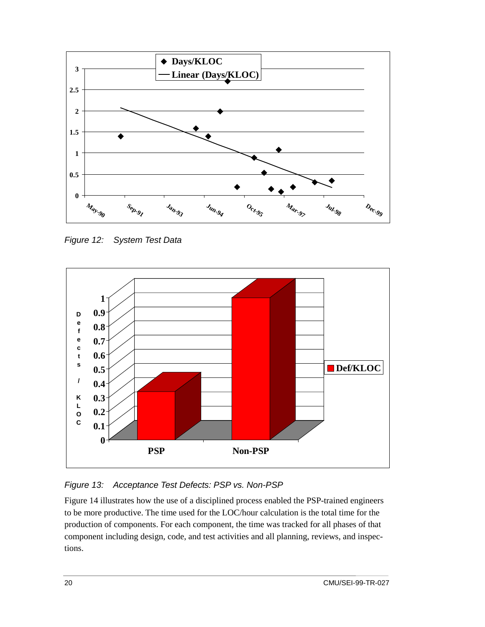<span id="page-31-0"></span>

*Figure 12: System Test Data*



#### *Figure 13: Acceptance Test Defects: PSP vs. Non-PSP*

Figure 14 illustrates how the use of a disciplined process enabled the PSP-trained engineers to be more productive. The time used for the LOC/hour calculation is the total time for the production of components. For each component, the time was tracked for all phases of that component including design, code, and test activities and all planning, reviews, and inspections.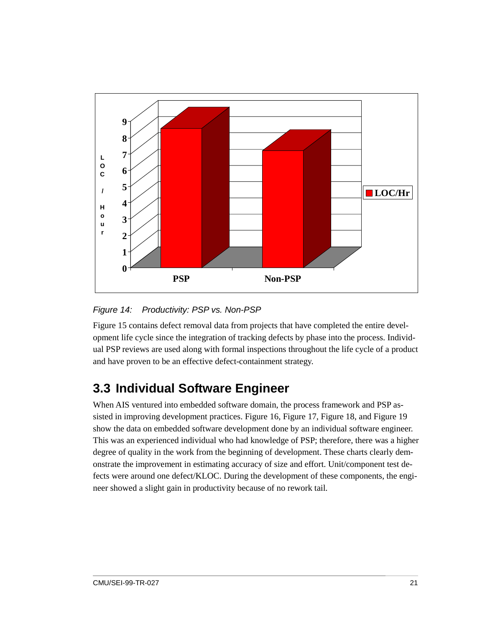<span id="page-32-0"></span>

*Figure 14: Productivity: PSP vs. Non-PSP*

Figure 15 contains defect removal data from projects that have completed the entire development life cycle since the integration of tracking defects by phase into the process. Individual PSP reviews are used along with formal inspections throughout the life cycle of a product and have proven to be an effective defect-containment strategy.

## **3.3 Individual Software Engineer**

When AIS ventured into embedded software domain, the process framework and PSP assisted in improving development practices. Figure 16, Figure 17, Figure 18, and Figure 19 show the data on embedded software development done by an individual software engineer. This was an experienced individual who had knowledge of PSP; therefore, there was a higher degree of quality in the work from the beginning of development. These charts clearly demonstrate the improvement in estimating accuracy of size and effort. Unit/component test defects were around one defect/KLOC. During the development of these components, the engineer showed a slight gain in productivity because of no rework tail.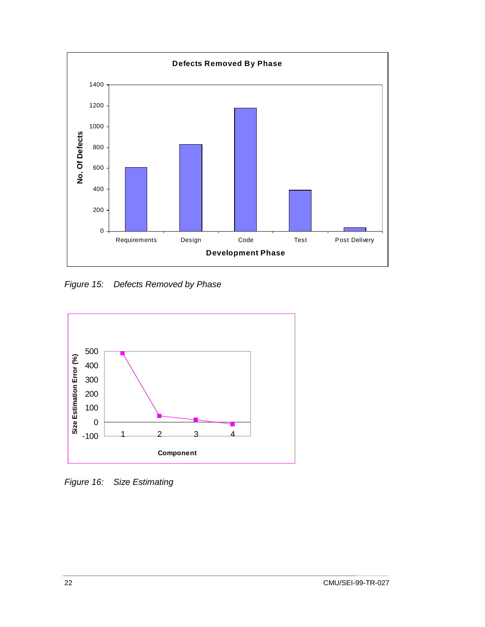<span id="page-33-0"></span>

*Figure 15: Defects Removed by Phase*



*Figure 16: Size Estimating*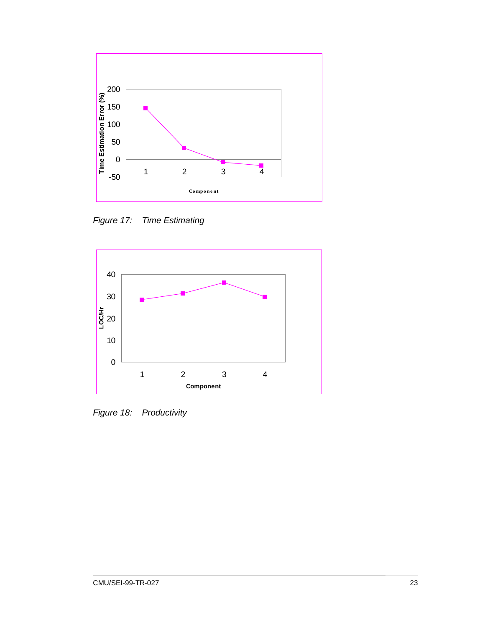<span id="page-34-0"></span>

*Figure 17: Time Estimating*



*Figure 18: Productivity*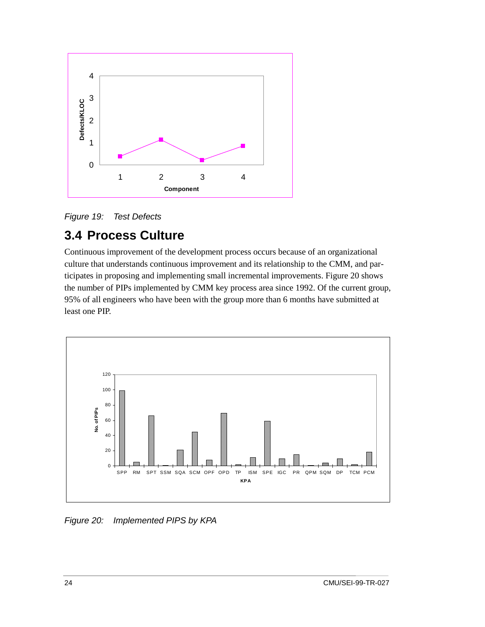<span id="page-35-0"></span>

*Figure 19: Test Defects*

## **3.4 Process Culture**

Continuous improvement of the development process occurs because of an organizational culture that understands continuous improvement and its relationship to the CMM, and participates in proposing and implementing small incremental improvements. Figure 20 shows the number of PIPs implemented by CMM key process area since 1992. Of the current group, 95% of all engineers who have been with the group more than 6 months have submitted at least one PIP.



*Figure 20: Implemented PIPS by KPA*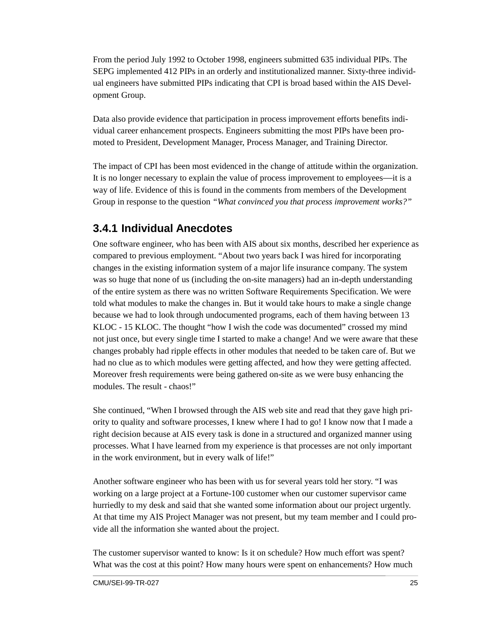<span id="page-36-0"></span>From the period July 1992 to October 1998, engineers submitted 635 individual PIPs. The SEPG implemented 412 PIPs in an orderly and institutionalized manner. Sixty-three individual engineers have submitted PIPs indicating that CPI is broad based within the AIS Development Group.

Data also provide evidence that participation in process improvement efforts benefits individual career enhancement prospects. Engineers submitting the most PIPs have been promoted to President, Development Manager, Process Manager, and Training Director.

The impact of CPI has been most evidenced in the change of attitude within the organization. It is no longer necessary to explain the value of process improvement to employees—it is a way of life. Evidence of this is found in the comments from members of the Development Group in response to the question *"What convinced you that process improvement works?"*

#### **3.4.1 Individual Anecdotes**

One software engineer, who has been with AIS about six months, described her experience as compared to previous employment. "About two years back I was hired for incorporating changes in the existing information system of a major life insurance company. The system was so huge that none of us (including the on-site managers) had an in-depth understanding of the entire system as there was no written Software Requirements Specification. We were told what modules to make the changes in. But it would take hours to make a single change because we had to look through undocumented programs, each of them having between 13 KLOC - 15 KLOC. The thought "how I wish the code was documented" crossed my mind not just once, but every single time I started to make a change! And we were aware that these changes probably had ripple effects in other modules that needed to be taken care of. But we had no clue as to which modules were getting affected, and how they were getting affected. Moreover fresh requirements were being gathered on-site as we were busy enhancing the modules. The result - chaos!"

She continued, "When I browsed through the AIS web site and read that they gave high priority to quality and software processes, I knew where I had to go! I know now that I made a right decision because at AIS every task is done in a structured and organized manner using processes. What I have learned from my experience is that processes are not only important in the work environment, but in every walk of life!"

Another software engineer who has been with us for several years told her story. "I was working on a large project at a Fortune-100 customer when our customer supervisor came hurriedly to my desk and said that she wanted some information about our project urgently. At that time my AIS Project Manager was not present, but my team member and I could provide all the information she wanted about the project.

The customer supervisor wanted to know: Is it on schedule? How much effort was spent? What was the cost at this point? How many hours were spent on enhancements? How much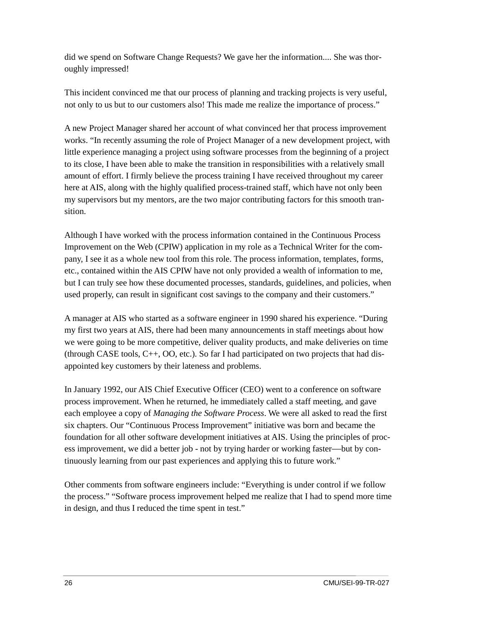did we spend on Software Change Requests? We gave her the information.... She was thoroughly impressed!

This incident convinced me that our process of planning and tracking projects is very useful, not only to us but to our customers also! This made me realize the importance of process."

A new Project Manager shared her account of what convinced her that process improvement works. "In recently assuming the role of Project Manager of a new development project, with little experience managing a project using software processes from the beginning of a project to its close, I have been able to make the transition in responsibilities with a relatively small amount of effort. I firmly believe the process training I have received throughout my career here at AIS, along with the highly qualified process-trained staff, which have not only been my supervisors but my mentors, are the two major contributing factors for this smooth transition.

Although I have worked with the process information contained in the Continuous Process Improvement on the Web (CPIW) application in my role as a Technical Writer for the company, I see it as a whole new tool from this role. The process information, templates, forms, etc., contained within the AIS CPIW have not only provided a wealth of information to me, but I can truly see how these documented processes, standards, guidelines, and policies, when used properly, can result in significant cost savings to the company and their customers."

A manager at AIS who started as a software engineer in 1990 shared his experience. "During my first two years at AIS, there had been many announcements in staff meetings about how we were going to be more competitive, deliver quality products, and make deliveries on time (through CASE tools, C++, OO, etc.). So far I had participated on two projects that had disappointed key customers by their lateness and problems.

In January 1992, our AIS Chief Executive Officer (CEO) went to a conference on software process improvement. When he returned, he immediately called a staff meeting, and gave each employee a copy of *Managing the Software Process*. We were all asked to read the first six chapters. Our "Continuous Process Improvement" initiative was born and became the foundation for all other software development initiatives at AIS. Using the principles of process improvement, we did a better job - not by trying harder or working faster—but by continuously learning from our past experiences and applying this to future work."

Other comments from software engineers include: "Everything is under control if we follow the process." "Software process improvement helped me realize that I had to spend more time in design, and thus I reduced the time spent in test."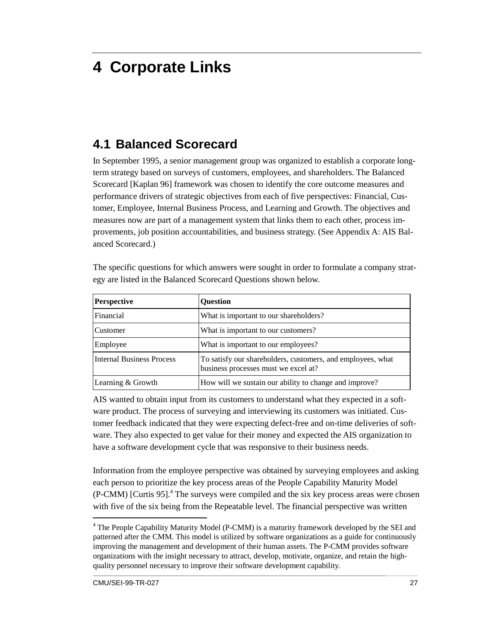# <span id="page-38-0"></span>**4 Corporate Links**

### **4.1 Balanced Scorecard**

In September 1995, a senior management group was organized to establish a corporate longterm strategy based on surveys of customers, employees, and shareholders. The Balanced Scorecard [Kaplan 96] framework was chosen to identify the core outcome measures and performance drivers of strategic objectives from each of five perspectives: Financial, Customer, Employee, Internal Business Process, and Learning and Growth. The objectives and measures now are part of a management system that links them to each other, process improvements, job position accountabilities, and business strategy. (See Appendix A: AIS Balanced Scorecard.)

| <b>Perspective</b>               | <b>Ouestion</b>                                                                                     |
|----------------------------------|-----------------------------------------------------------------------------------------------------|
| Financial                        | What is important to our shareholders?                                                              |
| Customer                         | What is important to our customers?                                                                 |
| Employee                         | What is important to our employees?                                                                 |
| <b>Internal Business Process</b> | To satisfy our shareholders, customers, and employees, what<br>business processes must we excel at? |
| Learning & Growth                | How will we sustain our ability to change and improve?                                              |

The specific questions for which answers were sought in order to formulate a company strategy are listed in the Balanced Scorecard Questions shown below.

AIS wanted to obtain input from its customers to understand what they expected in a software product. The process of surveying and interviewing its customers was initiated. Customer feedback indicated that they were expecting defect-free and on-time deliveries of software. They also expected to get value for their money and expected the AIS organization to have a software development cycle that was responsive to their business needs.

Information from the employee perspective was obtained by surveying employees and asking each person to prioritize the key process areas of the People Capability Maturity Model (P-CMM) [Curtis 95].<sup>4</sup> The surveys were compiled and the six key process areas were chosen with five of the six being from the Repeatable level. The financial perspective was written

 $\overline{a}$ 

<sup>&</sup>lt;sup>4</sup> The People Capability Maturity Model (P-CMM) is a maturity framework developed by the SEI and patterned after the CMM. This model is utilized by software organizations as a guide for continuously improving the management and development of their human assets. The P-CMM provides software organizations with the insight necessary to attract, develop, motivate, organize, and retain the highquality personnel necessary to improve their software development capability.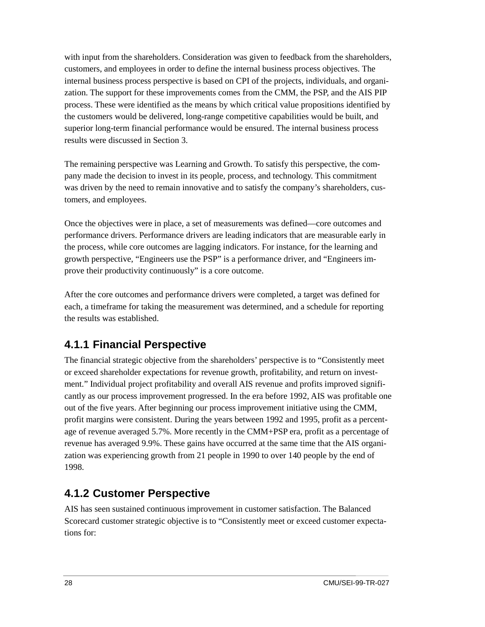<span id="page-39-0"></span>with input from the shareholders. Consideration was given to feedback from the shareholders, customers, and employees in order to define the internal business process objectives. The internal business process perspective is based on CPI of the projects, individuals, and organization. The support for these improvements comes from the CMM, the PSP, and the AIS PIP process. These were identified as the means by which critical value propositions identified by the customers would be delivered, long-range competitive capabilities would be built, and superior long-term financial performance would be ensured. The internal business process results were discussed in Section 3.

The remaining perspective was Learning and Growth. To satisfy this perspective, the company made the decision to invest in its people, process, and technology. This commitment was driven by the need to remain innovative and to satisfy the company's shareholders, customers, and employees.

Once the objectives were in place, a set of measurements was defined—core outcomes and performance drivers. Performance drivers are leading indicators that are measurable early in the process, while core outcomes are lagging indicators. For instance, for the learning and growth perspective, "Engineers use the PSP" is a performance driver, and "Engineers improve their productivity continuously" is a core outcome.

After the core outcomes and performance drivers were completed, a target was defined for each, a timeframe for taking the measurement was determined, and a schedule for reporting the results was established.

### **4.1.1 Financial Perspective**

The financial strategic objective from the shareholders' perspective is to "Consistently meet or exceed shareholder expectations for revenue growth, profitability, and return on investment." Individual project profitability and overall AIS revenue and profits improved significantly as our process improvement progressed. In the era before 1992, AIS was profitable one out of the five years. After beginning our process improvement initiative using the CMM, profit margins were consistent. During the years between 1992 and 1995, profit as a percentage of revenue averaged 5.7%. More recently in the CMM+PSP era, profit as a percentage of revenue has averaged 9.9%. These gains have occurred at the same time that the AIS organization was experiencing growth from 21 people in 1990 to over 140 people by the end of 1998.

### **4.1.2 Customer Perspective**

AIS has seen sustained continuous improvement in customer satisfaction. The Balanced Scorecard customer strategic objective is to "Consistently meet or exceed customer expectations for: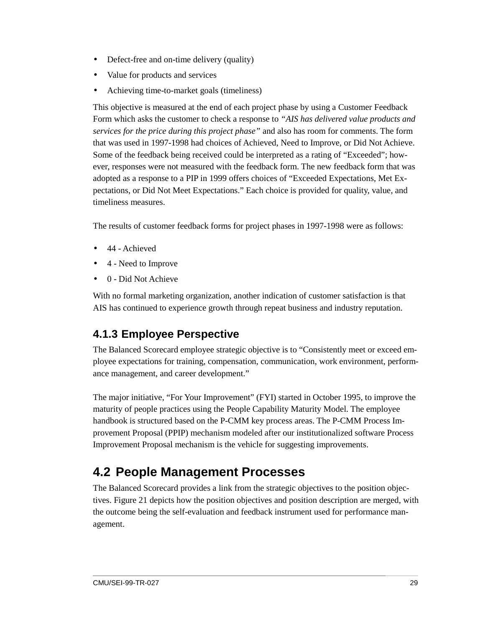- <span id="page-40-0"></span>• Defect-free and on-time delivery (quality)
- Value for products and services
- Achieving time-to-market goals (timeliness)

This objective is measured at the end of each project phase by using a Customer Feedback Form which asks the customer to check a response to *"AIS has delivered value products and services for the price during this project phase"* and also has room for comments. The form that was used in 1997-1998 had choices of Achieved, Need to Improve, or Did Not Achieve. Some of the feedback being received could be interpreted as a rating of "Exceeded"; however, responses were not measured with the feedback form. The new feedback form that was adopted as a response to a PIP in 1999 offers choices of "Exceeded Expectations, Met Expectations, or Did Not Meet Expectations." Each choice is provided for quality, value, and timeliness measures.

The results of customer feedback forms for project phases in 1997-1998 were as follows:

- 44 Achieved
- 4 Need to Improve
- 0 Did Not Achieve

With no formal marketing organization, another indication of customer satisfaction is that AIS has continued to experience growth through repeat business and industry reputation.

### **4.1.3 Employee Perspective**

The Balanced Scorecard employee strategic objective is to "Consistently meet or exceed employee expectations for training, compensation, communication, work environment, performance management, and career development."

The major initiative, "For Your Improvement" (FYI) started in October 1995, to improve the maturity of people practices using the People Capability Maturity Model. The employee handbook is structured based on the P-CMM key process areas. The P-CMM Process Improvement Proposal (PPIP) mechanism modeled after our institutionalized software Process Improvement Proposal mechanism is the vehicle for suggesting improvements.

### **4.2 People Management Processes**

The Balanced Scorecard provides a link from the strategic objectives to the position objectives. Figure 21 depicts how the position objectives and position description are merged, with the outcome being the self-evaluation and feedback instrument used for performance management.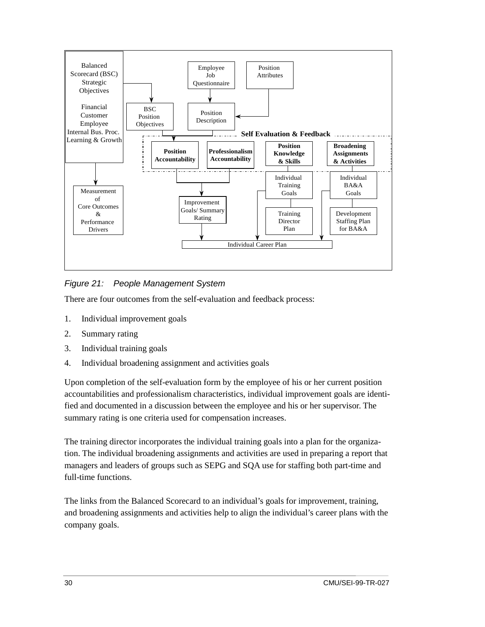<span id="page-41-0"></span>

*Figure 21: People Management System*

There are four outcomes from the self-evaluation and feedback process:

- 1. Individual improvement goals
- 2. Summary rating
- 3. Individual training goals
- 4. Individual broadening assignment and activities goals

Upon completion of the self-evaluation form by the employee of his or her current position accountabilities and professionalism characteristics, individual improvement goals are identified and documented in a discussion between the employee and his or her supervisor. The summary rating is one criteria used for compensation increases.

The training director incorporates the individual training goals into a plan for the organization. The individual broadening assignments and activities are used in preparing a report that managers and leaders of groups such as SEPG and SQA use for staffing both part-time and full-time functions.

The links from the Balanced Scorecard to an individual's goals for improvement, training, and broadening assignments and activities help to align the individual's career plans with the company goals.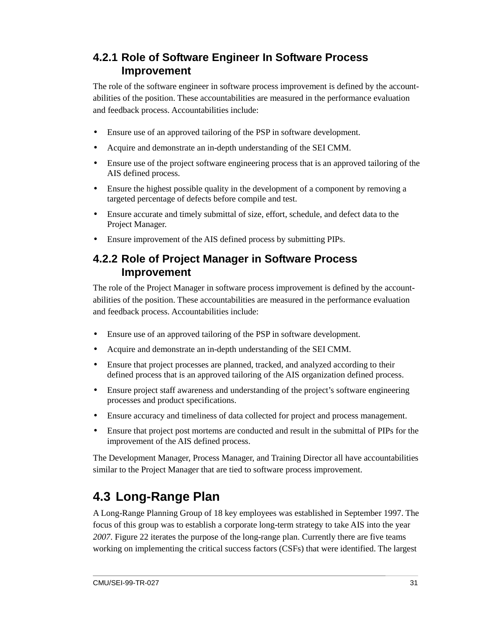#### <span id="page-42-0"></span>**4.2.1 Role of Software Engineer In Software Process Improvement**

The role of the software engineer in software process improvement is defined by the accountabilities of the position. These accountabilities are measured in the performance evaluation and feedback process. Accountabilities include:

- Ensure use of an approved tailoring of the PSP in software development.
- Acquire and demonstrate an in-depth understanding of the SEI CMM.
- Ensure use of the project software engineering process that is an approved tailoring of the AIS defined process.
- Ensure the highest possible quality in the development of a component by removing a targeted percentage of defects before compile and test.
- Ensure accurate and timely submittal of size, effort, schedule, and defect data to the Project Manager.
- Ensure improvement of the AIS defined process by submitting PIPs.

#### **4.2.2 Role of Project Manager in Software Process Improvement**

The role of the Project Manager in software process improvement is defined by the accountabilities of the position. These accountabilities are measured in the performance evaluation and feedback process. Accountabilities include:

- Ensure use of an approved tailoring of the PSP in software development.
- Acquire and demonstrate an in-depth understanding of the SEI CMM.
- Ensure that project processes are planned, tracked, and analyzed according to their defined process that is an approved tailoring of the AIS organization defined process.
- Ensure project staff awareness and understanding of the project's software engineering processes and product specifications.
- Ensure accuracy and timeliness of data collected for project and process management.
- Ensure that project post mortems are conducted and result in the submittal of PIPs for the improvement of the AIS defined process.

The Development Manager, Process Manager, and Training Director all have accountabilities similar to the Project Manager that are tied to software process improvement.

## **4.3 Long-Range Plan**

A Long-Range Planning Group of 18 key employees was established in September 1997. The focus of this group was to establish a corporate long-term strategy to take AIS into the year *2007*. Figure 22 iterates the purpose of the long-range plan. Currently there are five teams working on implementing the critical success factors (CSFs) that were identified. The largest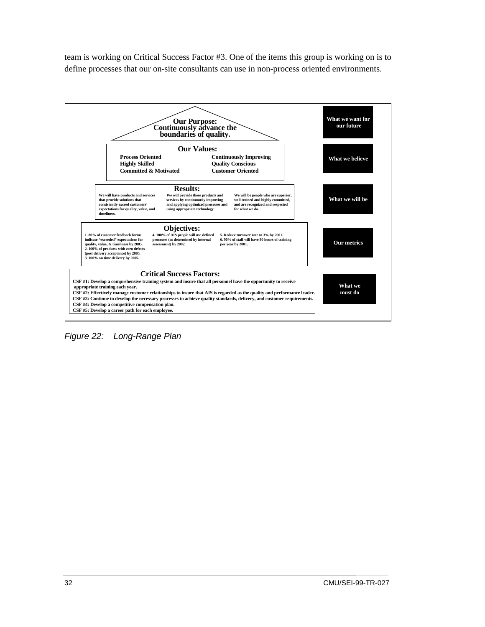<span id="page-43-0"></span>team is working on Critical Success Factor #3. One of the items this group is working on is to define processes that our on-site consultants can use in non-process oriented environments.



*Figure 22: Long-Range Plan*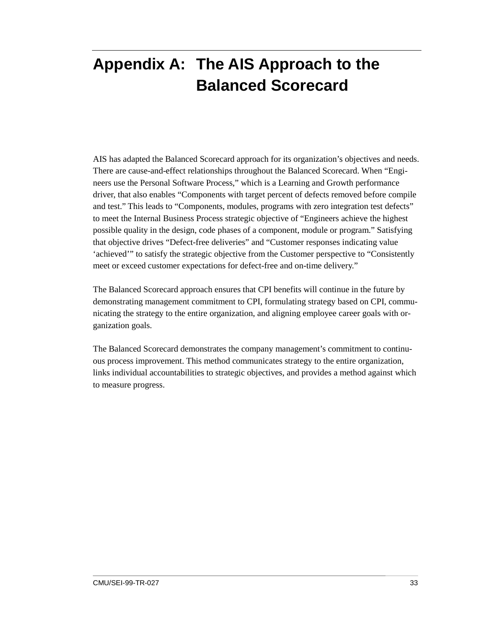# <span id="page-44-0"></span>**Appendix A: The AIS Approach to the Balanced Scorecard**

AIS has adapted the Balanced Scorecard approach for its organization's objectives and needs. There are cause-and-effect relationships throughout the Balanced Scorecard. When "Engineers use the Personal Software Process," which is a Learning and Growth performance driver, that also enables "Components with target percent of defects removed before compile and test." This leads to "Components, modules, programs with zero integration test defects" to meet the Internal Business Process strategic objective of "Engineers achieve the highest possible quality in the design, code phases of a component, module or program." Satisfying that objective drives "Defect-free deliveries" and "Customer responses indicating value 'achieved'" to satisfy the strategic objective from the Customer perspective to "Consistently meet or exceed customer expectations for defect-free and on-time delivery."

The Balanced Scorecard approach ensures that CPI benefits will continue in the future by demonstrating management commitment to CPI, formulating strategy based on CPI, communicating the strategy to the entire organization, and aligning employee career goals with organization goals.

The Balanced Scorecard demonstrates the company management's commitment to continuous process improvement. This method communicates strategy to the entire organization, links individual accountabilities to strategic objectives, and provides a method against which to measure progress.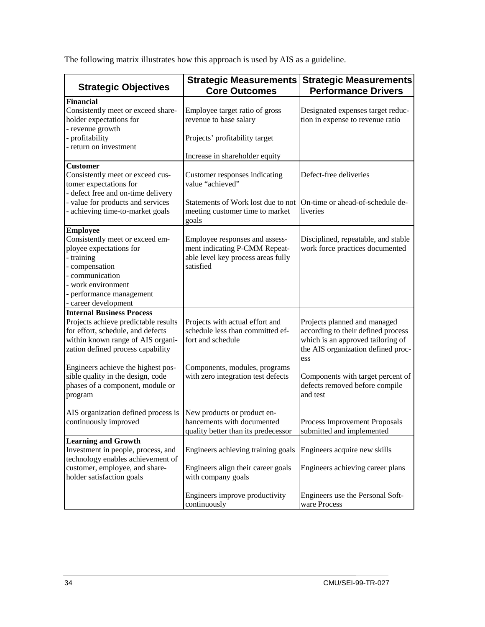The following matrix illustrates how this approach is used by AIS as a guideline.

| <b>Strategic Objectives</b>                                                                                                                                                                                                                                                                                       | <b>Strategic Measurements</b><br><b>Core Outcomes</b>                                                                                                           | <b>Strategic Measurements</b><br><b>Performance Drivers</b>                                                                                                                                                                             |  |  |
|-------------------------------------------------------------------------------------------------------------------------------------------------------------------------------------------------------------------------------------------------------------------------------------------------------------------|-----------------------------------------------------------------------------------------------------------------------------------------------------------------|-----------------------------------------------------------------------------------------------------------------------------------------------------------------------------------------------------------------------------------------|--|--|
| <b>Financial</b><br>Consistently meet or exceed share-<br>holder expectations for<br>- revenue growth<br>- profitability<br>- return on investment                                                                                                                                                                | Employee target ratio of gross<br>revenue to base salary<br>Projects' profitability target                                                                      | Designated expenses target reduc-<br>tion in expense to revenue ratio                                                                                                                                                                   |  |  |
|                                                                                                                                                                                                                                                                                                                   | Increase in shareholder equity                                                                                                                                  |                                                                                                                                                                                                                                         |  |  |
| <b>Customer</b><br>Consistently meet or exceed cus-<br>tomer expectations for<br>- defect free and on-time delivery<br>- value for products and services<br>- achieving time-to-market goals                                                                                                                      | Customer responses indicating<br>value "achieved"<br>Statements of Work lost due to not<br>meeting customer time to market<br>goals                             | Defect-free deliveries<br>On-time or ahead-of-schedule de-<br>liveries                                                                                                                                                                  |  |  |
| <b>Employee</b><br>Consistently meet or exceed em-<br>ployee expectations for<br>- training<br>- compensation<br>- communication<br>- work environment<br>- performance management<br>- career development                                                                                                        | Employee responses and assess-<br>ment indicating P-CMM Repeat-<br>able level key process areas fully<br>satisfied                                              | Disciplined, repeatable, and stable<br>work force practices documented                                                                                                                                                                  |  |  |
| <b>Internal Business Process</b><br>Projects achieve predictable results<br>for effort, schedule, and defects<br>within known range of AIS organi-<br>zation defined process capability<br>Engineers achieve the highest pos-<br>sible quality in the design, code<br>phases of a component, module or<br>program | Projects with actual effort and<br>schedule less than committed ef-<br>fort and schedule<br>Components, modules, programs<br>with zero integration test defects | Projects planned and managed<br>according to their defined process<br>which is an approved tailoring of<br>the AIS organization defined proc-<br>ess<br>Components with target percent of<br>defects removed before compile<br>and test |  |  |
| AIS organization defined process is<br>continuously improved                                                                                                                                                                                                                                                      | New products or product en-<br>hancements with documented<br>quality better than its predecessor                                                                | Process Improvement Proposals<br>submitted and implemented                                                                                                                                                                              |  |  |
| <b>Learning and Growth</b><br>Investment in people, process, and<br>technology enables achievement of<br>customer, employee, and share-<br>holder satisfaction goals                                                                                                                                              | Engineers achieving training goals<br>Engineers align their career goals<br>with company goals<br>Engineers improve productivity                                | Engineers acquire new skills<br>Engineers achieving career plans<br>Engineers use the Personal Soft-                                                                                                                                    |  |  |
|                                                                                                                                                                                                                                                                                                                   | continuously                                                                                                                                                    | ware Process                                                                                                                                                                                                                            |  |  |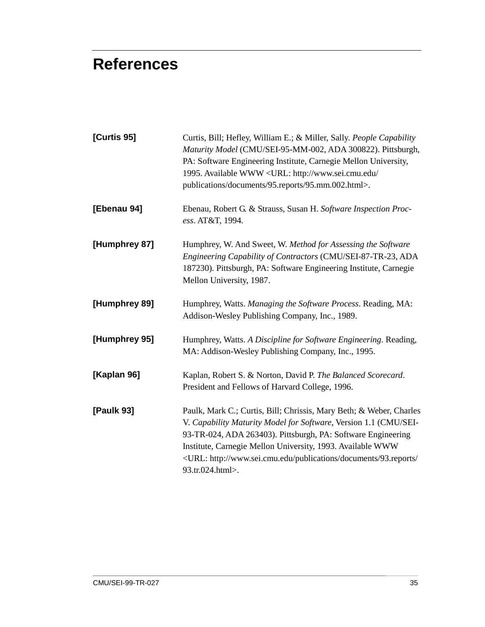# <span id="page-46-0"></span>**References**

| Curtis, Bill; Hefley, William E.; & Miller, Sally. People Capability<br>Maturity Model (CMU/SEI-95-MM-002, ADA 300822). Pittsburgh,<br>PA: Software Engineering Institute, Carnegie Mellon University,<br>1995. Available WWW <url: <br="" http:="" www.sei.cmu.edu="">publications/documents/95.reports/95.mm.002.html&gt;.</url:>                                                     |
|-----------------------------------------------------------------------------------------------------------------------------------------------------------------------------------------------------------------------------------------------------------------------------------------------------------------------------------------------------------------------------------------|
| Ebenau, Robert G. & Strauss, Susan H. Software Inspection Proc-<br>ess. AT&T, 1994.                                                                                                                                                                                                                                                                                                     |
| Humphrey, W. And Sweet, W. Method for Assessing the Software<br>Engineering Capability of Contractors (CMU/SEI-87-TR-23, ADA<br>187230). Pittsburgh, PA: Software Engineering Institute, Carnegie<br>Mellon University, 1987.                                                                                                                                                           |
| Humphrey, Watts. Managing the Software Process. Reading, MA:<br>Addison-Wesley Publishing Company, Inc., 1989.                                                                                                                                                                                                                                                                          |
| Humphrey, Watts. A Discipline for Software Engineering. Reading,<br>MA: Addison-Wesley Publishing Company, Inc., 1995.                                                                                                                                                                                                                                                                  |
| Kaplan, Robert S. & Norton, David P. The Balanced Scorecard.<br>President and Fellows of Harvard College, 1996.                                                                                                                                                                                                                                                                         |
| Paulk, Mark C.; Curtis, Bill; Chrissis, Mary Beth; & Weber, Charles<br>V. Capability Maturity Model for Software, Version 1.1 (CMU/SEI-<br>93-TR-024, ADA 263403). Pittsburgh, PA: Software Engineering<br>Institute, Carnegie Mellon University, 1993. Available WWW<br><url: 93.reports="" <br="" documents="" http:="" publications="" www.sei.cmu.edu="">93.tr.024.html&gt;.</url:> |
|                                                                                                                                                                                                                                                                                                                                                                                         |